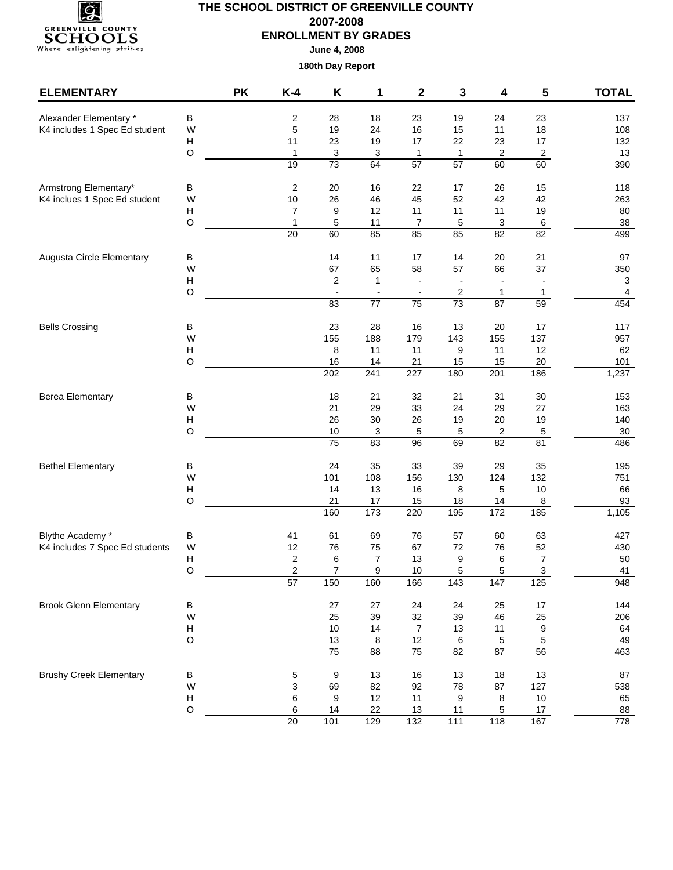

| <b>ELEMENTARY</b>              |                           | <b>PK</b> | K-4                  | K                         | 1                    | $\mathbf{2}$     | 3                | 4               | 5               | <b>TOTAL</b> |
|--------------------------------|---------------------------|-----------|----------------------|---------------------------|----------------------|------------------|------------------|-----------------|-----------------|--------------|
| Alexander Elementary *         | B                         |           | 2                    | 28                        | 18                   | 23               | 19               | 24              | 23              | 137          |
| K4 includes 1 Spec Ed student  | W                         |           | $\mathbf 5$          | 19                        | 24                   | 16               | 15               | 11              | 18              | 108          |
|                                | Н                         |           | 11                   | 23                        | 19                   | 17               | 22               | 23              | 17              | 132          |
|                                | $\circ$                   |           | $\mathbf{1}$         | $\ensuremath{\mathsf{3}}$ | 3                    | $\overline{1}$   | $\mathbf{1}$     | 2               | $\overline{2}$  | 13           |
|                                |                           |           | 19                   | 73                        | 64                   | 57               | 57               | 60              | 60              | 390          |
| Armstrong Elementary*          | В                         |           | $\boldsymbol{2}$     | 20                        | 16                   | 22               | 17               | 26              | 15              | 118          |
| K4 inclues 1 Spec Ed student   | W                         |           | $10$                 | 26                        | 46                   | 45               | 52               | 42              | 42              | 263          |
|                                | Н                         |           | 7                    | 9                         | 12                   | 11               | 11               | 11              | 19              | 80           |
|                                | $\circ$                   |           | 1                    | 5                         | 11                   | $\overline{7}$   | 5                | 3               | $\,6$           | $38\,$       |
|                                |                           |           | $\overline{20}$      | 60                        | 85                   | 85               | 85               | 82              | $\overline{82}$ | 499          |
| Augusta Circle Elementary      | В                         |           |                      | 14                        | 11                   | 17               | 14               | 20              | 21              | 97           |
|                                | W                         |           |                      | 67                        | 65                   | 58               | 57               | 66              | 37              | 350          |
|                                | $\boldsymbol{\mathsf{H}}$ |           |                      | 2                         | $\mathbf{1}$         |                  |                  |                 |                 | 3            |
|                                | $\circ$                   |           |                      |                           |                      |                  | 2                | 1               | 1               | 4            |
|                                |                           |           |                      | 83                        | $\overline{77}$      | $\overline{75}$  | 73               | $\overline{87}$ | 59              | 454          |
| <b>Bells Crossing</b>          | $\sf B$                   |           |                      | 23                        | 28                   | 16               | 13               | 20              | 17              | 117          |
|                                | W                         |           |                      | 155                       | 188                  | 179              | 143              | 155             | 137             | 957          |
|                                | Н                         |           |                      | 8                         | 11                   | 11               | 9                | 11              | 12              | 62           |
|                                | $\circ$                   |           |                      | 16                        | 14                   | 21               | 15               | 15              | $20\,$          | 101          |
|                                |                           |           |                      | 202                       | 241                  | 227              | 180              | 201             | 186             | 1,237        |
| <b>Berea Elementary</b>        | В                         |           |                      | 18                        | 21                   | 32               | 21               | 31              | 30              | 153          |
|                                | W                         |           |                      | 21                        | 29                   | 33               | 24               | 29              | 27              | 163          |
|                                | $\boldsymbol{\mathsf{H}}$ |           |                      | 26                        | $30\,$               | 26               | 19               | $20\,$          | 19              | 140          |
|                                | O                         |           |                      | 10                        | 3                    | 5                | 5                | 2               | $\,$ 5 $\,$     | $30\,$       |
|                                |                           |           |                      | 75                        | 83                   | 96               | 69               | 82              | 81              | 486          |
| <b>Bethel Elementary</b>       | В                         |           |                      | 24                        | 35                   | 33               | 39               | 29              | 35              | 195          |
|                                | W                         |           |                      | 101                       | 108                  | 156              | 130              | 124             | 132             | 751          |
|                                | Н                         |           |                      | 14                        | 13                   | 16               | 8                | 5               | $10$            | 66           |
|                                | $\circ$                   |           |                      | 21<br>160                 | 17<br>173            | 15<br>220        | 18<br>195        | 14<br>172       | 8<br>185        | 93<br>1,105  |
|                                |                           |           |                      |                           |                      |                  |                  |                 |                 |              |
| Blythe Academy *               | В                         |           | 41                   | 61                        | 69                   | 76               | 57               | 60              | 63              | 427          |
| K4 includes 7 Spec Ed students | W                         |           | 12                   | 76                        | 75                   | 67               | 72               | 76              | 52              | 430          |
|                                | Н                         |           | 2                    | 6<br>$\overline{7}$       | $\overline{7}$       | 13               | 9                | 6               | $\overline{7}$  | 50           |
|                                | O                         |           | $\overline{c}$<br>57 | 150                       | 9<br>160             | 10<br>166        | 5<br>143         | 5<br>147        | 3<br>125        | 41<br>948    |
| <b>Brook Glenn Elementary</b>  |                           |           |                      |                           |                      |                  |                  |                 |                 | 144          |
|                                | B<br>W                    |           |                      | 27<br>25                  | 27<br>39             | 24<br>32         | 24<br>39         | 25<br>46        | 17<br>25        | 206          |
|                                | $\boldsymbol{\mathsf{H}}$ |           |                      | 10                        | 14                   | $\overline{7}$   | 13               | 11              | 9               | 64           |
|                                | $\mathsf O$               |           |                      | 13                        |                      | 12               | $\,6\,$          | 5               | $\overline{5}$  | 49           |
|                                |                           |           |                      | $\overline{75}$           | 8<br>$\overline{88}$ | $\overline{75}$  | $\overline{82}$  | 87              | 56              | 463          |
| <b>Brushy Creek Elementary</b> | $\sf B$                   |           | 5                    | 9                         | 13                   | 16               | 13               | 18              | 13              | 87           |
|                                | W                         |           | 3                    | 69                        | 82                   | 92               | 78               | 87              | 127             | 538          |
|                                | Н                         |           | 6                    | 9                         | 12                   | 11               | 9                | 8               | $10$            | 65           |
|                                | $\circ$                   |           | 6                    | 14                        | 22                   | 13               | 11               | 5               | 17              | 88           |
|                                |                           |           | 20                   | $\overline{101}$          | 129                  | $\overline{132}$ | $\overline{111}$ | 118             | 167             | 778          |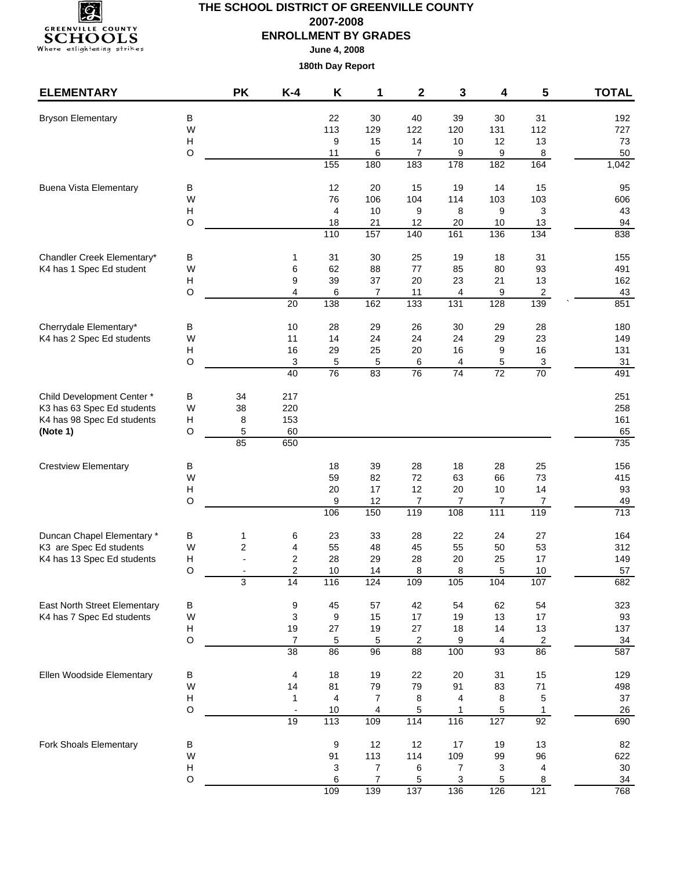

**June 4, 2008**

| <b>ELEMENTARY</b>                                      |             | <b>PK</b> | $K-4$                   | K                       | 1              | 2                     | 3              | 4               | 5                     | <b>TOTAL</b>     |
|--------------------------------------------------------|-------------|-----------|-------------------------|-------------------------|----------------|-----------------------|----------------|-----------------|-----------------------|------------------|
| <b>Bryson Elementary</b>                               | В           |           |                         | 22                      | 30             | 40                    | 39             | 30              | 31                    | 192              |
|                                                        | W           |           |                         | 113                     | 129            | 122                   | 120            | 131             | 112                   | 727              |
|                                                        | H           |           |                         | 9                       | 15             | 14                    | 10             | 12              | 13                    | 73               |
|                                                        | O           |           |                         | 11                      | 6              | 7                     | 9              | 9               | 8                     | 50               |
|                                                        |             |           |                         | $\frac{155}{155}$       | 180            | 183                   | 178            | 182             | 164                   | 1,042            |
| <b>Buena Vista Elementary</b>                          | В           |           |                         | 12                      | 20             | 15                    | 19             | 14              | 15                    | 95               |
|                                                        | W           |           |                         | 76                      | 106            | 104                   | 114            | 103             | 103                   | 606              |
|                                                        | Н           |           |                         | 4                       | $10$           | 9                     | 8              | 9               | 3                     | 43               |
|                                                        | O           |           |                         | 18<br>$\frac{110}{110}$ | 21<br>157      | 12<br>140             | 20<br>161      | 10<br>136       | 13<br>$\frac{1}{134}$ | 94<br>838        |
|                                                        |             |           |                         |                         |                |                       |                |                 |                       |                  |
| Chandler Creek Elementary*<br>K4 has 1 Spec Ed student | В<br>W      |           | 1<br>6                  | 31<br>62                | 30<br>88       | 25<br>77              | 19<br>85       | 18<br>80        | 31<br>93              | 155<br>491       |
|                                                        | н           |           | 9                       | 39                      | 37             | 20                    | 23             | 21              | 13                    | 162              |
|                                                        | $\circ$     |           | 4                       | 6                       | $\overline{7}$ | 11                    | 4              | 9               | $\overline{2}$        | 43               |
|                                                        |             |           | 20                      | $\frac{1}{38}$          | 162            | 133                   | 131            | 128             | 139                   | 851              |
| Cherrydale Elementary*                                 | В           |           | 10                      | 28                      | 29             | 26                    | 30             | 29              | 28                    | 180              |
| K4 has 2 Spec Ed students                              | W           |           | 11                      | 14                      | 24             | 24                    | 24             | 29              | 23                    | 149              |
|                                                        | н           |           | 16                      | 29                      | 25             | 20                    | 16             | 9               | 16                    | 131              |
|                                                        | $\circ$     |           | 3                       | 5                       | 5              | 6                     | 4              | 5               | $\mathbf{3}$          | 31               |
|                                                        |             |           | 40                      | 76                      | 83             | 76                    | 74             | 72              | 70                    | 491              |
| Child Development Center*                              | В           | 34        | 217                     |                         |                |                       |                |                 |                       | 251              |
| K3 has 63 Spec Ed students                             | W           | 38        | 220                     |                         |                |                       |                |                 |                       | 258              |
| K4 has 98 Spec Ed students                             | Н           | 8         | 153                     |                         |                |                       |                |                 |                       | 161              |
| (Note 1)                                               | O           | 5<br>85   | 60<br>650               |                         |                |                       |                |                 |                       | 65<br>735        |
|                                                        |             |           |                         |                         |                | 28                    |                |                 |                       |                  |
| <b>Crestview Elementary</b>                            | в<br>W      |           |                         | 18<br>59                | 39<br>82       | 72                    | 18<br>63       | 28<br>66        | 25<br>73              | 156<br>415       |
|                                                        | H           |           |                         | 20                      | 17             | 12                    | 20             | 10              | 14                    | 93               |
|                                                        | $\circ$     |           |                         | 9                       | 12             | 7                     | $\overline{7}$ | 7               | $\overline{7}$        | 49               |
|                                                        |             |           |                         | 106                     | 150            | 119                   | 108            | $\frac{1}{111}$ | 119                   | $\overline{713}$ |
| Duncan Chapel Elementary *                             | В           | 1         | 6                       | 23                      | 33             | 28                    | 22             | 24              | 27                    | 164              |
| K3 are Spec Ed students                                | W           | 2         | 4                       | 55                      | 48             | 45                    | 55             | 50              | 53                    | 312              |
| K4 has 13 Spec Ed students                             | H           |           | $\overline{\mathbf{c}}$ | 28                      | 29             | 28                    | 20             | 25              | 17                    | 149              |
|                                                        | O           |           | $\overline{2}$          | 10                      | 14             | 8                     | 8              | 5               | 10                    | 57               |
|                                                        |             | 3         | 14                      | 116                     | 124            | 109                   | 105            | 104             | 107                   | 682              |
| East North Street Elementary                           | $\sf B$     |           | 9                       | 45                      | 57             | 42                    | 54             | 62              | 54                    | 323              |
| K4 has 7 Spec Ed students                              | W<br>H      |           | 3                       | 9<br>27                 | 15             | 17<br>27              | 19             | 13              | 17                    | 93               |
|                                                        | $\mathsf O$ |           | 19<br>$\overline{7}$    | 5                       | 19<br>5        | $\overline{c}$        | 18<br>9        | 14<br>4         | 13<br>$\overline{c}$  | 137<br>34        |
|                                                        |             |           | $\overline{38}$         | 86                      | 96             | $\overline{88}$       | 100            | 93              | 86                    | 587              |
| Ellen Woodside Elementary                              | В           |           | 4                       | 18                      | 19             | 22                    | 20             | 31              | 15                    | 129              |
|                                                        | W           |           | 14                      | 81                      | 79             | 79                    | 91             | 83              | 71                    | 498              |
|                                                        | Н           |           | 1                       | 4                       | $\overline{7}$ | 8                     | 4              | 8               | $\mathbf 5$           | $37\,$           |
|                                                        | $\circ$     |           | $\overline{a}$          | 10                      | 4              | 5                     | 1              | 5               | $\mathbf{1}$          | 26               |
|                                                        |             |           | 19                      | $\frac{1}{13}$          | 109            | $\frac{114}{114}$     | 116            | 127             | $\overline{92}$       | 690              |
| Fork Shoals Elementary                                 | в           |           |                         | 9                       | 12             | 12                    | $17$           | 19              | 13                    | 82               |
|                                                        | W           |           |                         | 91                      | 113            | 114                   | 109            | 99              | 96                    | 622              |
|                                                        | H           |           |                         | 3                       | 7              | 6                     | 7              | 3               | 4                     | $30\,$           |
|                                                        | $\circ$     |           |                         | 6<br>109                | 7<br>139       | 5<br>$\overline{137}$ | 3<br>136       | 5<br>126        | 8<br>121              | 34<br>768        |
|                                                        |             |           |                         |                         |                |                       |                |                 |                       |                  |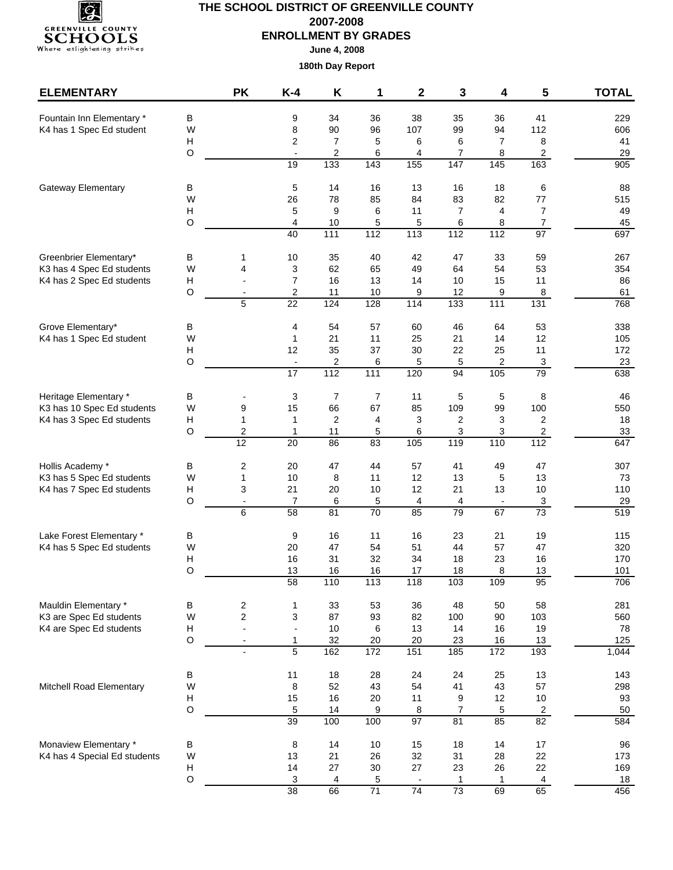

| <b>ELEMENTARY</b>            |                  | <b>PK</b>                                 | $K-4$                           | Κ                     | 1                     | 2                                                                                                                                                                                                                                                                                                                                                                                                                                                                                                                                                                                                                                                                                                                                                                                                                                                                                                                                               | 3                      | 4        | 5                    | <b>TOTAL</b> |
|------------------------------|------------------|-------------------------------------------|---------------------------------|-----------------------|-----------------------|-------------------------------------------------------------------------------------------------------------------------------------------------------------------------------------------------------------------------------------------------------------------------------------------------------------------------------------------------------------------------------------------------------------------------------------------------------------------------------------------------------------------------------------------------------------------------------------------------------------------------------------------------------------------------------------------------------------------------------------------------------------------------------------------------------------------------------------------------------------------------------------------------------------------------------------------------|------------------------|----------|----------------------|--------------|
| Fountain Inn Elementary *    | В                |                                           | 9                               | 34                    | 36                    | 38                                                                                                                                                                                                                                                                                                                                                                                                                                                                                                                                                                                                                                                                                                                                                                                                                                                                                                                                              | 35                     | 36       | 41                   | 229          |
| K4 has 1 Spec Ed student     | W                |                                           | 8                               | 90                    | 96                    | 107                                                                                                                                                                                                                                                                                                                                                                                                                                                                                                                                                                                                                                                                                                                                                                                                                                                                                                                                             | 99                     | 94       | 112                  | 606          |
|                              | Н                |                                           | $\overline{2}$                  | $\overline{7}$        | 5                     |                                                                                                                                                                                                                                                                                                                                                                                                                                                                                                                                                                                                                                                                                                                                                                                                                                                                                                                                                 |                        |          |                      | 41           |
|                              | $\circ$          |                                           | $\overline{\phantom{a}}$<br>19  | 2<br>$\overline{133}$ | 6<br>$\overline{143}$ | $\overline{7}$<br>8<br>6<br>6<br>$\overline{a}$<br>7<br>8<br>4<br>163<br>155<br>147<br>145<br>13<br>16<br>18<br>6<br>84<br>83<br>82<br>77<br>$\overline{7}$<br>11<br>7<br>4<br>$\overline{7}$<br>5<br>6<br>8<br>113<br>97<br>$\frac{1}{112}$<br>$\frac{1}{112}$<br>42<br>47<br>33<br>59<br>49<br>53<br>64<br>54<br>11<br>14<br>10<br>15<br>9<br>12<br>9<br>8<br>$\overline{133}$<br>$\frac{111}{111}$<br>114<br>131<br>53<br>60<br>46<br>64<br>21<br>12<br>25<br>14<br>30<br>22<br>25<br>11<br>5<br>5<br>$\overline{2}$<br>$\mathbf{3}$<br>$\overline{79}$<br>94<br>105<br>120<br>11<br>5<br>5<br>8<br>85<br>109<br>100<br>99<br>3<br>$\overline{2}$<br>$\overline{2}$<br>3<br>3<br>3<br>$\overline{a}$<br>6<br>119<br>110<br>105<br>112<br>57<br>41<br>49<br>47<br>12<br>13<br>13<br>5<br>10 <sup>1</sup><br>12<br>21<br>13<br>4<br>$\mathbf{3}$<br>4<br>$\overline{\phantom{a}}$<br>79<br>$\overline{73}$<br>85<br>67<br>16<br>23<br>21<br>19 | 29<br>$\overline{905}$ |          |                      |              |
|                              |                  |                                           |                                 |                       |                       |                                                                                                                                                                                                                                                                                                                                                                                                                                                                                                                                                                                                                                                                                                                                                                                                                                                                                                                                                 |                        |          |                      |              |
| Gateway Elementary           | В<br>W           |                                           | 5                               | 14                    | 16                    |                                                                                                                                                                                                                                                                                                                                                                                                                                                                                                                                                                                                                                                                                                                                                                                                                                                                                                                                                 |                        |          |                      | 88           |
|                              | H                |                                           | 26<br>5                         | 78<br>9               | 85<br>6               |                                                                                                                                                                                                                                                                                                                                                                                                                                                                                                                                                                                                                                                                                                                                                                                                                                                                                                                                                 |                        |          |                      | 515<br>49    |
|                              | O                |                                           | 4                               | 10                    | 5                     |                                                                                                                                                                                                                                                                                                                                                                                                                                                                                                                                                                                                                                                                                                                                                                                                                                                                                                                                                 |                        |          |                      | 45           |
|                              |                  |                                           | 40                              | $\frac{111}{111}$     | 112                   |                                                                                                                                                                                                                                                                                                                                                                                                                                                                                                                                                                                                                                                                                                                                                                                                                                                                                                                                                 |                        |          |                      | 697          |
| Greenbrier Elementary*       | В                | 1                                         | 10                              | 35                    | 40                    |                                                                                                                                                                                                                                                                                                                                                                                                                                                                                                                                                                                                                                                                                                                                                                                                                                                                                                                                                 |                        |          |                      | 267          |
| K3 has 4 Spec Ed students    | W                | 4                                         | 3                               | 62                    | 65                    |                                                                                                                                                                                                                                                                                                                                                                                                                                                                                                                                                                                                                                                                                                                                                                                                                                                                                                                                                 |                        |          |                      | 354          |
| K4 has 2 Spec Ed students    | н                |                                           | $\overline{7}$                  | 16                    | 13                    |                                                                                                                                                                                                                                                                                                                                                                                                                                                                                                                                                                                                                                                                                                                                                                                                                                                                                                                                                 |                        |          |                      | 86           |
|                              | O                | $\overline{\phantom{a}}$<br>5             | 2<br>$\overline{22}$            | 11<br>124             | 10<br>128             |                                                                                                                                                                                                                                                                                                                                                                                                                                                                                                                                                                                                                                                                                                                                                                                                                                                                                                                                                 |                        |          |                      | 61<br>768    |
|                              |                  |                                           |                                 |                       |                       |                                                                                                                                                                                                                                                                                                                                                                                                                                                                                                                                                                                                                                                                                                                                                                                                                                                                                                                                                 |                        |          |                      |              |
| Grove Elementary*            | В                |                                           | 4                               | 54                    | 57                    |                                                                                                                                                                                                                                                                                                                                                                                                                                                                                                                                                                                                                                                                                                                                                                                                                                                                                                                                                 |                        |          |                      | 338          |
| K4 has 1 Spec Ed student     | W                |                                           | $\mathbf{1}$                    | 21                    | 11                    |                                                                                                                                                                                                                                                                                                                                                                                                                                                                                                                                                                                                                                                                                                                                                                                                                                                                                                                                                 |                        |          |                      | 105          |
|                              | н<br>$\circ$     |                                           | 12<br>$\overline{\phantom{a}}$  | 35<br>$\overline{c}$  | 37<br>6               |                                                                                                                                                                                                                                                                                                                                                                                                                                                                                                                                                                                                                                                                                                                                                                                                                                                                                                                                                 |                        |          |                      | 172<br>23    |
|                              |                  |                                           | $\overline{17}$                 | 112                   | $\frac{111}{111}$     |                                                                                                                                                                                                                                                                                                                                                                                                                                                                                                                                                                                                                                                                                                                                                                                                                                                                                                                                                 |                        |          |                      | 638          |
| Heritage Elementary *        | В                |                                           | 3                               | $\overline{7}$        | $\overline{7}$        |                                                                                                                                                                                                                                                                                                                                                                                                                                                                                                                                                                                                                                                                                                                                                                                                                                                                                                                                                 |                        |          |                      | 46           |
| K3 has 10 Spec Ed students   | W                | 9                                         | 15                              | 66                    | 67                    |                                                                                                                                                                                                                                                                                                                                                                                                                                                                                                                                                                                                                                                                                                                                                                                                                                                                                                                                                 |                        |          |                      | 550          |
| K4 has 3 Spec Ed students    | н                | $\mathbf{1}$                              | $\mathbf{1}$                    | $\overline{c}$        | 4                     |                                                                                                                                                                                                                                                                                                                                                                                                                                                                                                                                                                                                                                                                                                                                                                                                                                                                                                                                                 |                        |          |                      | 18           |
|                              | O                | 2                                         | 1                               | 11                    | 5                     |                                                                                                                                                                                                                                                                                                                                                                                                                                                                                                                                                                                                                                                                                                                                                                                                                                                                                                                                                 |                        |          |                      | 33           |
|                              |                  | 12                                        | 20                              | 86                    | 83                    |                                                                                                                                                                                                                                                                                                                                                                                                                                                                                                                                                                                                                                                                                                                                                                                                                                                                                                                                                 |                        |          |                      | 647          |
| Hollis Academy *             | B                | 2                                         | 20                              | 47                    | 44                    |                                                                                                                                                                                                                                                                                                                                                                                                                                                                                                                                                                                                                                                                                                                                                                                                                                                                                                                                                 |                        |          |                      | 307          |
| K3 has 5 Spec Ed students    | W                | 1                                         | 10                              | 8                     | 11                    |                                                                                                                                                                                                                                                                                                                                                                                                                                                                                                                                                                                                                                                                                                                                                                                                                                                                                                                                                 |                        |          |                      | 73           |
| K4 has 7 Spec Ed students    | н<br>$\mathsf O$ | 3                                         | 21                              | 20                    | 10                    |                                                                                                                                                                                                                                                                                                                                                                                                                                                                                                                                                                                                                                                                                                                                                                                                                                                                                                                                                 |                        |          |                      | 110          |
|                              |                  | $\overline{\phantom{a}}$<br>6             | 7<br>$\overline{58}$            | 6<br>81               | 5<br>70               |                                                                                                                                                                                                                                                                                                                                                                                                                                                                                                                                                                                                                                                                                                                                                                                                                                                                                                                                                 |                        |          |                      | 29<br>519    |
| Lake Forest Elementary *     | В                |                                           | 9                               | 16                    | 11                    |                                                                                                                                                                                                                                                                                                                                                                                                                                                                                                                                                                                                                                                                                                                                                                                                                                                                                                                                                 |                        |          |                      | 115          |
| K4 has 5 Spec Ed students    | W                |                                           | 20                              | 47                    | 54                    | 51                                                                                                                                                                                                                                                                                                                                                                                                                                                                                                                                                                                                                                                                                                                                                                                                                                                                                                                                              | 44                     | 57       | 47                   | 320          |
|                              | н                |                                           | 16                              | 31                    | 32                    | 34                                                                                                                                                                                                                                                                                                                                                                                                                                                                                                                                                                                                                                                                                                                                                                                                                                                                                                                                              | 18                     | 23       | 16                   | 170          |
|                              | O                |                                           | 13                              | 16                    | 16                    | 17                                                                                                                                                                                                                                                                                                                                                                                                                                                                                                                                                                                                                                                                                                                                                                                                                                                                                                                                              | 18                     | 8        | 13                   | 101          |
|                              |                  |                                           | 58                              | 110                   | 113                   | 118                                                                                                                                                                                                                                                                                                                                                                                                                                                                                                                                                                                                                                                                                                                                                                                                                                                                                                                                             | 103                    | 109      | 95                   | 706          |
| Mauldin Elementary *         | $\sf B$          | $\sqrt{2}$                                | 1                               | 33                    | 53                    | 36                                                                                                                                                                                                                                                                                                                                                                                                                                                                                                                                                                                                                                                                                                                                                                                                                                                                                                                                              | 48                     | 50       | 58                   | 281          |
| K3 are Spec Ed students      | W                | $\overline{c}$                            | $\ensuremath{\mathsf{3}}$       | 87                    | 93                    | 82                                                                                                                                                                                                                                                                                                                                                                                                                                                                                                                                                                                                                                                                                                                                                                                                                                                                                                                                              | 100                    | 90       | 103                  | 560          |
| K4 are Spec Ed students      | H<br>$\mathsf O$ | $\frac{1}{2}$<br>$\overline{\phantom{a}}$ | $\blacksquare$<br>$\mathbf{1}$  | 10<br>32              | 6<br>$20\,$           | 13<br>20                                                                                                                                                                                                                                                                                                                                                                                                                                                                                                                                                                                                                                                                                                                                                                                                                                                                                                                                        | 14<br>23               | 16<br>16 | 19<br>13             | 78<br>125    |
|                              |                  |                                           | 5                               | 162                   | 172                   | 151                                                                                                                                                                                                                                                                                                                                                                                                                                                                                                                                                                                                                                                                                                                                                                                                                                                                                                                                             | 185                    | 172      | 193                  | 1,044        |
|                              | В                |                                           | 11                              | 18                    | 28                    | 24                                                                                                                                                                                                                                                                                                                                                                                                                                                                                                                                                                                                                                                                                                                                                                                                                                                                                                                                              | 24                     | 25       | 13                   | 143          |
| Mitchell Road Elementary     | W                |                                           | 8                               | 52                    | 43                    | 54                                                                                                                                                                                                                                                                                                                                                                                                                                                                                                                                                                                                                                                                                                                                                                                                                                                                                                                                              | 41                     | 43       | 57                   | 298          |
|                              | H                |                                           | 15                              | 16                    | 20                    | 11                                                                                                                                                                                                                                                                                                                                                                                                                                                                                                                                                                                                                                                                                                                                                                                                                                                                                                                                              | 9                      | 12       | 10                   | 93           |
|                              | $\hbox{O}$       |                                           | 5                               | 14                    | 9                     | $\bf 8$                                                                                                                                                                                                                                                                                                                                                                                                                                                                                                                                                                                                                                                                                                                                                                                                                                                                                                                                         | $\overline{7}$         | 5        | $\mathbf{2}$         | 50           |
|                              |                  |                                           | 39                              | 100                   | 100                   | $\overline{97}$                                                                                                                                                                                                                                                                                                                                                                                                                                                                                                                                                                                                                                                                                                                                                                                                                                                                                                                                 | 81                     | 85       | 82                   | 584          |
| Monaview Elementary *        | В                |                                           | 8                               | 14                    | 10                    | 15                                                                                                                                                                                                                                                                                                                                                                                                                                                                                                                                                                                                                                                                                                                                                                                                                                                                                                                                              | 18                     | 14       | $17\,$               | 96           |
| K4 has 4 Special Ed students | W                |                                           | 13                              | 21                    | 26                    | 32                                                                                                                                                                                                                                                                                                                                                                                                                                                                                                                                                                                                                                                                                                                                                                                                                                                                                                                                              | 31                     | 28       | 22                   | 173          |
|                              | H<br>$\circ$     |                                           | 14<br>$\ensuremath{\mathsf{3}}$ | 27<br>4               | $30\,$                | 27                                                                                                                                                                                                                                                                                                                                                                                                                                                                                                                                                                                                                                                                                                                                                                                                                                                                                                                                              | 23<br>1                | 26<br>1  | 22<br>$\overline{4}$ | 169<br>18    |
|                              |                  |                                           | 38                              | 66                    | 5<br>$\overline{71}$  | 74                                                                                                                                                                                                                                                                                                                                                                                                                                                                                                                                                                                                                                                                                                                                                                                                                                                                                                                                              | $\overline{73}$        | 69       | 65                   | 456          |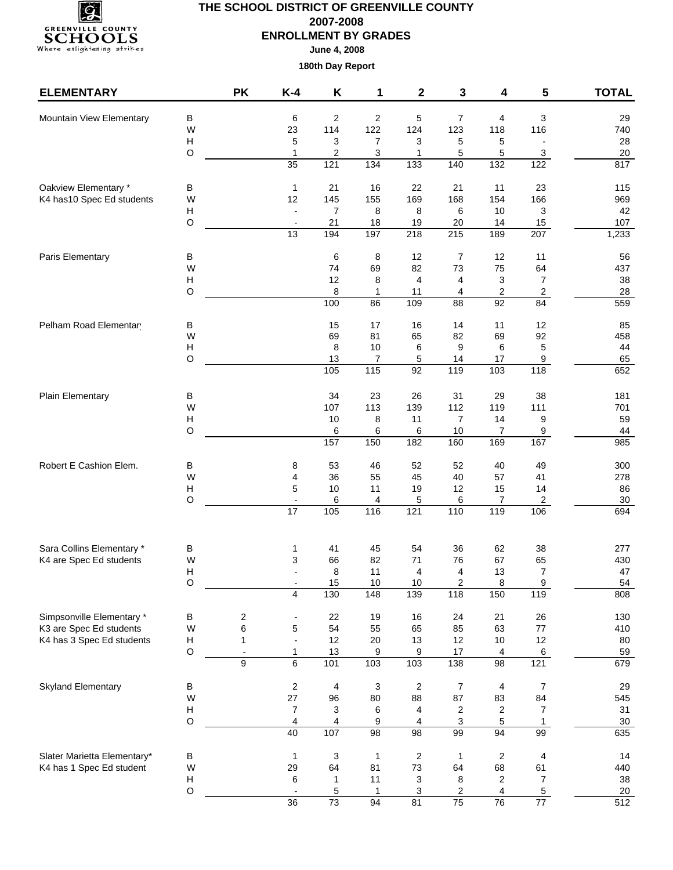

**June 4, 2008**

| В<br>$\overline{\mathbf{c}}$<br>5<br>$\overline{7}$<br>3<br>Mountain View Elementary<br>6<br>$\overline{2}$<br>4<br>29<br>114<br>122<br>116<br>W<br>23<br>124<br>123<br>118<br>740<br>Н<br>3<br>$\overline{7}$<br>3<br>5<br>28<br>5<br>5<br>$\overline{\phantom{a}}$<br>$\mathsf O$<br>2<br>$20\,$<br>$\mathbf{1}$<br>3<br>5<br>5<br>3<br>1<br>121<br>134<br>817<br>$\overline{35}$<br>$\overline{133}$<br>140<br>$\overline{132}$<br>122<br>Oakview Elementary *<br>21<br>22<br>23<br>В<br>$\mathbf{1}$<br>16<br>21<br>11<br>115<br>145<br>169<br>K4 has 10 Spec Ed students<br>W<br>12<br>155<br>168<br>154<br>166<br>969<br>8<br>8<br>10<br>3<br>42<br>Н<br>7<br>6<br>$\mathsf O$<br>21<br>18<br>19<br>20<br>107<br>14<br>15<br>194<br>197<br>215<br>13<br>$\overline{218}$<br>189<br>207<br>1,233<br>Paris Elementary<br>В<br>6<br>8<br>12<br>7<br>12<br>11<br>56<br>W<br>74<br>69<br>82<br>73<br>75<br>64<br>437<br>12<br>8<br>$\overline{4}$<br>3<br>$\boldsymbol{7}$<br>38<br>н<br>4<br>O<br>8<br>2<br>$\overline{2}$<br>28<br>1<br>4<br>11<br>100<br>86<br>109<br>$\overline{88}$<br>$\overline{92}$<br>84<br>559<br>$17$<br>Pelham Road Elementar<br>В<br>15<br>16<br>14<br>11<br>12<br>85<br>W<br>92<br>69<br>81<br>65<br>82<br>69<br>458<br>Н<br>8<br>10<br>6<br>9<br>5<br>44<br>6<br>O<br>13<br>7<br>5<br>14<br>17<br>9<br>65<br>105<br>115<br>92<br>119<br>103<br>118<br>652<br>34<br>23<br>31<br>29<br>38<br>Plain Elementary<br>26<br>181<br>В<br>W<br>113<br>112<br>107<br>139<br>119<br>111<br>701<br>$\overline{7}$<br>H<br>10<br>8<br>11<br>14<br>9<br>59<br>O<br>6<br>6<br>44<br>6<br>10<br>7<br>$9\,$<br>150<br>182<br>169<br>167<br>157<br>160<br>985<br>Robert E Cashion Elem.<br>В<br>53<br>46<br>52<br>52<br>49<br>8<br>40<br>300<br>W<br>36<br>55<br>45<br>40<br>57<br>41<br>278<br>4<br>Н<br>5<br>10<br>11<br>19<br>12<br>15<br>14<br>86<br>O<br>6<br>$\boldsymbol{7}$<br>$\overline{c}$<br>$30\,$<br>6<br>4<br>5<br>$\overline{\phantom{a}}$<br>119<br>17<br>105<br>116<br>121<br>110<br>694<br>106<br>Sara Collins Elementary *<br>45<br>62<br>В<br>41<br>54<br>36<br>38<br>277<br>1<br>W<br>66<br>82<br>76<br>67<br>65<br>430<br>K4 are Spec Ed students<br>3<br>71<br>$\overline{7}$<br>н<br>8<br>11<br>$\overline{4}$<br>4<br>13<br>47<br>O<br>15<br>10<br>10<br>$\overline{2}$<br>8<br>9<br>54<br>148<br>130<br>139<br>118<br>150<br>119<br>4<br>808<br>Simpsonville Elementary *<br>B<br>24<br>26<br>2<br>22<br>19<br>16<br>21<br>130<br>6<br>K3 are Spec Ed students<br>W<br>5<br>54<br>55<br>65<br>85<br>63<br>$77\,$<br>410<br>K4 has 3 Spec Ed students<br>Н<br>12<br>12<br>$\mathbf{1}$<br>20<br>13<br>12<br>10<br>80<br>$\overline{\phantom{a}}$<br>O<br>13<br>$\boldsymbol{9}$<br>$17\,$<br>$\,6\,$<br>59<br>$\mathbf{1}$<br>9<br>4<br>$\overline{\phantom{a}}$<br>103<br>98<br>9<br>6<br>101<br>$\frac{10}{3}$<br>138<br>121<br>679<br><b>Skyland Elementary</b><br>$\sqrt{2}$<br>4<br>3<br>$\overline{2}$<br>7<br>7<br>29<br>В<br>4<br>W<br>27<br>87<br>84<br>96<br>80<br>88<br>83<br>545<br>3<br>Н<br>$\boldsymbol{7}$<br>2<br>$\overline{7}$<br>31<br>6<br>4<br>$\overline{c}$<br>O<br>3<br>$30\,$<br>4<br>4<br>9<br>5<br>4<br>1<br>98<br>99<br>40<br>107<br>94<br>635<br>98<br>99<br>$\boldsymbol{2}$<br>В<br>$\mathbf{1}$<br>3<br>$\sqrt{2}$<br>4<br>Slater Marietta Elementary*<br>$\mathbf{1}$<br>1<br>14<br>64<br>68<br>61<br>K4 has 1 Spec Ed student<br>W<br>29<br>81<br>73<br>64<br>440<br>Н<br>11<br>$\overline{7}$<br>38<br>6<br>3<br>8<br>$\overline{c}$<br>1<br>$\circ$<br>5<br>2<br>4<br>5<br>20<br>1<br>3<br>$\overline{a}$<br>512<br>73<br>81<br>75<br>$\overline{36}$<br>94<br>$\overline{76}$<br>77 | <b>ELEMENTARY</b> | <b>PK</b> | $K-4$ | Κ | 1 | 2 | 3 | 4 | 5 | <b>TOTAL</b> |
|-------------------------------------------------------------------------------------------------------------------------------------------------------------------------------------------------------------------------------------------------------------------------------------------------------------------------------------------------------------------------------------------------------------------------------------------------------------------------------------------------------------------------------------------------------------------------------------------------------------------------------------------------------------------------------------------------------------------------------------------------------------------------------------------------------------------------------------------------------------------------------------------------------------------------------------------------------------------------------------------------------------------------------------------------------------------------------------------------------------------------------------------------------------------------------------------------------------------------------------------------------------------------------------------------------------------------------------------------------------------------------------------------------------------------------------------------------------------------------------------------------------------------------------------------------------------------------------------------------------------------------------------------------------------------------------------------------------------------------------------------------------------------------------------------------------------------------------------------------------------------------------------------------------------------------------------------------------------------------------------------------------------------------------------------------------------------------------------------------------------------------------------------------------------------------------------------------------------------------------------------------------------------------------------------------------------------------------------------------------------------------------------------------------------------------------------------------------------------------------------------------------------------------------------------------------------------------------------------------------------------------------------------------------------------------------------------------------------------------------------------------------------------------------------------------------------------------------------------------------------------------------------------------------------------------------------------------------------------------------------------------------------------------------------------------------------------------------------------------------------------------------------------------------------------------------------------------------------------------------------------------------------------------------------------------------------------------------------------------------------------------------------------------------------------------------------------------------------------------------------------------------------------------------------------------------------------------------------------------------------------------------------------------------------|-------------------|-----------|-------|---|---|---|---|---|---|--------------|
|                                                                                                                                                                                                                                                                                                                                                                                                                                                                                                                                                                                                                                                                                                                                                                                                                                                                                                                                                                                                                                                                                                                                                                                                                                                                                                                                                                                                                                                                                                                                                                                                                                                                                                                                                                                                                                                                                                                                                                                                                                                                                                                                                                                                                                                                                                                                                                                                                                                                                                                                                                                                                                                                                                                                                                                                                                                                                                                                                                                                                                                                                                                                                                                                                                                                                                                                                                                                                                                                                                                                                                                                                                                                   |                   |           |       |   |   |   |   |   |   |              |
|                                                                                                                                                                                                                                                                                                                                                                                                                                                                                                                                                                                                                                                                                                                                                                                                                                                                                                                                                                                                                                                                                                                                                                                                                                                                                                                                                                                                                                                                                                                                                                                                                                                                                                                                                                                                                                                                                                                                                                                                                                                                                                                                                                                                                                                                                                                                                                                                                                                                                                                                                                                                                                                                                                                                                                                                                                                                                                                                                                                                                                                                                                                                                                                                                                                                                                                                                                                                                                                                                                                                                                                                                                                                   |                   |           |       |   |   |   |   |   |   |              |
|                                                                                                                                                                                                                                                                                                                                                                                                                                                                                                                                                                                                                                                                                                                                                                                                                                                                                                                                                                                                                                                                                                                                                                                                                                                                                                                                                                                                                                                                                                                                                                                                                                                                                                                                                                                                                                                                                                                                                                                                                                                                                                                                                                                                                                                                                                                                                                                                                                                                                                                                                                                                                                                                                                                                                                                                                                                                                                                                                                                                                                                                                                                                                                                                                                                                                                                                                                                                                                                                                                                                                                                                                                                                   |                   |           |       |   |   |   |   |   |   |              |
|                                                                                                                                                                                                                                                                                                                                                                                                                                                                                                                                                                                                                                                                                                                                                                                                                                                                                                                                                                                                                                                                                                                                                                                                                                                                                                                                                                                                                                                                                                                                                                                                                                                                                                                                                                                                                                                                                                                                                                                                                                                                                                                                                                                                                                                                                                                                                                                                                                                                                                                                                                                                                                                                                                                                                                                                                                                                                                                                                                                                                                                                                                                                                                                                                                                                                                                                                                                                                                                                                                                                                                                                                                                                   |                   |           |       |   |   |   |   |   |   |              |
|                                                                                                                                                                                                                                                                                                                                                                                                                                                                                                                                                                                                                                                                                                                                                                                                                                                                                                                                                                                                                                                                                                                                                                                                                                                                                                                                                                                                                                                                                                                                                                                                                                                                                                                                                                                                                                                                                                                                                                                                                                                                                                                                                                                                                                                                                                                                                                                                                                                                                                                                                                                                                                                                                                                                                                                                                                                                                                                                                                                                                                                                                                                                                                                                                                                                                                                                                                                                                                                                                                                                                                                                                                                                   |                   |           |       |   |   |   |   |   |   |              |
|                                                                                                                                                                                                                                                                                                                                                                                                                                                                                                                                                                                                                                                                                                                                                                                                                                                                                                                                                                                                                                                                                                                                                                                                                                                                                                                                                                                                                                                                                                                                                                                                                                                                                                                                                                                                                                                                                                                                                                                                                                                                                                                                                                                                                                                                                                                                                                                                                                                                                                                                                                                                                                                                                                                                                                                                                                                                                                                                                                                                                                                                                                                                                                                                                                                                                                                                                                                                                                                                                                                                                                                                                                                                   |                   |           |       |   |   |   |   |   |   |              |
|                                                                                                                                                                                                                                                                                                                                                                                                                                                                                                                                                                                                                                                                                                                                                                                                                                                                                                                                                                                                                                                                                                                                                                                                                                                                                                                                                                                                                                                                                                                                                                                                                                                                                                                                                                                                                                                                                                                                                                                                                                                                                                                                                                                                                                                                                                                                                                                                                                                                                                                                                                                                                                                                                                                                                                                                                                                                                                                                                                                                                                                                                                                                                                                                                                                                                                                                                                                                                                                                                                                                                                                                                                                                   |                   |           |       |   |   |   |   |   |   |              |
|                                                                                                                                                                                                                                                                                                                                                                                                                                                                                                                                                                                                                                                                                                                                                                                                                                                                                                                                                                                                                                                                                                                                                                                                                                                                                                                                                                                                                                                                                                                                                                                                                                                                                                                                                                                                                                                                                                                                                                                                                                                                                                                                                                                                                                                                                                                                                                                                                                                                                                                                                                                                                                                                                                                                                                                                                                                                                                                                                                                                                                                                                                                                                                                                                                                                                                                                                                                                                                                                                                                                                                                                                                                                   |                   |           |       |   |   |   |   |   |   |              |
|                                                                                                                                                                                                                                                                                                                                                                                                                                                                                                                                                                                                                                                                                                                                                                                                                                                                                                                                                                                                                                                                                                                                                                                                                                                                                                                                                                                                                                                                                                                                                                                                                                                                                                                                                                                                                                                                                                                                                                                                                                                                                                                                                                                                                                                                                                                                                                                                                                                                                                                                                                                                                                                                                                                                                                                                                                                                                                                                                                                                                                                                                                                                                                                                                                                                                                                                                                                                                                                                                                                                                                                                                                                                   |                   |           |       |   |   |   |   |   |   |              |
|                                                                                                                                                                                                                                                                                                                                                                                                                                                                                                                                                                                                                                                                                                                                                                                                                                                                                                                                                                                                                                                                                                                                                                                                                                                                                                                                                                                                                                                                                                                                                                                                                                                                                                                                                                                                                                                                                                                                                                                                                                                                                                                                                                                                                                                                                                                                                                                                                                                                                                                                                                                                                                                                                                                                                                                                                                                                                                                                                                                                                                                                                                                                                                                                                                                                                                                                                                                                                                                                                                                                                                                                                                                                   |                   |           |       |   |   |   |   |   |   |              |
|                                                                                                                                                                                                                                                                                                                                                                                                                                                                                                                                                                                                                                                                                                                                                                                                                                                                                                                                                                                                                                                                                                                                                                                                                                                                                                                                                                                                                                                                                                                                                                                                                                                                                                                                                                                                                                                                                                                                                                                                                                                                                                                                                                                                                                                                                                                                                                                                                                                                                                                                                                                                                                                                                                                                                                                                                                                                                                                                                                                                                                                                                                                                                                                                                                                                                                                                                                                                                                                                                                                                                                                                                                                                   |                   |           |       |   |   |   |   |   |   |              |
|                                                                                                                                                                                                                                                                                                                                                                                                                                                                                                                                                                                                                                                                                                                                                                                                                                                                                                                                                                                                                                                                                                                                                                                                                                                                                                                                                                                                                                                                                                                                                                                                                                                                                                                                                                                                                                                                                                                                                                                                                                                                                                                                                                                                                                                                                                                                                                                                                                                                                                                                                                                                                                                                                                                                                                                                                                                                                                                                                                                                                                                                                                                                                                                                                                                                                                                                                                                                                                                                                                                                                                                                                                                                   |                   |           |       |   |   |   |   |   |   |              |
|                                                                                                                                                                                                                                                                                                                                                                                                                                                                                                                                                                                                                                                                                                                                                                                                                                                                                                                                                                                                                                                                                                                                                                                                                                                                                                                                                                                                                                                                                                                                                                                                                                                                                                                                                                                                                                                                                                                                                                                                                                                                                                                                                                                                                                                                                                                                                                                                                                                                                                                                                                                                                                                                                                                                                                                                                                                                                                                                                                                                                                                                                                                                                                                                                                                                                                                                                                                                                                                                                                                                                                                                                                                                   |                   |           |       |   |   |   |   |   |   |              |
|                                                                                                                                                                                                                                                                                                                                                                                                                                                                                                                                                                                                                                                                                                                                                                                                                                                                                                                                                                                                                                                                                                                                                                                                                                                                                                                                                                                                                                                                                                                                                                                                                                                                                                                                                                                                                                                                                                                                                                                                                                                                                                                                                                                                                                                                                                                                                                                                                                                                                                                                                                                                                                                                                                                                                                                                                                                                                                                                                                                                                                                                                                                                                                                                                                                                                                                                                                                                                                                                                                                                                                                                                                                                   |                   |           |       |   |   |   |   |   |   |              |
|                                                                                                                                                                                                                                                                                                                                                                                                                                                                                                                                                                                                                                                                                                                                                                                                                                                                                                                                                                                                                                                                                                                                                                                                                                                                                                                                                                                                                                                                                                                                                                                                                                                                                                                                                                                                                                                                                                                                                                                                                                                                                                                                                                                                                                                                                                                                                                                                                                                                                                                                                                                                                                                                                                                                                                                                                                                                                                                                                                                                                                                                                                                                                                                                                                                                                                                                                                                                                                                                                                                                                                                                                                                                   |                   |           |       |   |   |   |   |   |   |              |
|                                                                                                                                                                                                                                                                                                                                                                                                                                                                                                                                                                                                                                                                                                                                                                                                                                                                                                                                                                                                                                                                                                                                                                                                                                                                                                                                                                                                                                                                                                                                                                                                                                                                                                                                                                                                                                                                                                                                                                                                                                                                                                                                                                                                                                                                                                                                                                                                                                                                                                                                                                                                                                                                                                                                                                                                                                                                                                                                                                                                                                                                                                                                                                                                                                                                                                                                                                                                                                                                                                                                                                                                                                                                   |                   |           |       |   |   |   |   |   |   |              |
|                                                                                                                                                                                                                                                                                                                                                                                                                                                                                                                                                                                                                                                                                                                                                                                                                                                                                                                                                                                                                                                                                                                                                                                                                                                                                                                                                                                                                                                                                                                                                                                                                                                                                                                                                                                                                                                                                                                                                                                                                                                                                                                                                                                                                                                                                                                                                                                                                                                                                                                                                                                                                                                                                                                                                                                                                                                                                                                                                                                                                                                                                                                                                                                                                                                                                                                                                                                                                                                                                                                                                                                                                                                                   |                   |           |       |   |   |   |   |   |   |              |
|                                                                                                                                                                                                                                                                                                                                                                                                                                                                                                                                                                                                                                                                                                                                                                                                                                                                                                                                                                                                                                                                                                                                                                                                                                                                                                                                                                                                                                                                                                                                                                                                                                                                                                                                                                                                                                                                                                                                                                                                                                                                                                                                                                                                                                                                                                                                                                                                                                                                                                                                                                                                                                                                                                                                                                                                                                                                                                                                                                                                                                                                                                                                                                                                                                                                                                                                                                                                                                                                                                                                                                                                                                                                   |                   |           |       |   |   |   |   |   |   |              |
|                                                                                                                                                                                                                                                                                                                                                                                                                                                                                                                                                                                                                                                                                                                                                                                                                                                                                                                                                                                                                                                                                                                                                                                                                                                                                                                                                                                                                                                                                                                                                                                                                                                                                                                                                                                                                                                                                                                                                                                                                                                                                                                                                                                                                                                                                                                                                                                                                                                                                                                                                                                                                                                                                                                                                                                                                                                                                                                                                                                                                                                                                                                                                                                                                                                                                                                                                                                                                                                                                                                                                                                                                                                                   |                   |           |       |   |   |   |   |   |   |              |
|                                                                                                                                                                                                                                                                                                                                                                                                                                                                                                                                                                                                                                                                                                                                                                                                                                                                                                                                                                                                                                                                                                                                                                                                                                                                                                                                                                                                                                                                                                                                                                                                                                                                                                                                                                                                                                                                                                                                                                                                                                                                                                                                                                                                                                                                                                                                                                                                                                                                                                                                                                                                                                                                                                                                                                                                                                                                                                                                                                                                                                                                                                                                                                                                                                                                                                                                                                                                                                                                                                                                                                                                                                                                   |                   |           |       |   |   |   |   |   |   |              |
|                                                                                                                                                                                                                                                                                                                                                                                                                                                                                                                                                                                                                                                                                                                                                                                                                                                                                                                                                                                                                                                                                                                                                                                                                                                                                                                                                                                                                                                                                                                                                                                                                                                                                                                                                                                                                                                                                                                                                                                                                                                                                                                                                                                                                                                                                                                                                                                                                                                                                                                                                                                                                                                                                                                                                                                                                                                                                                                                                                                                                                                                                                                                                                                                                                                                                                                                                                                                                                                                                                                                                                                                                                                                   |                   |           |       |   |   |   |   |   |   |              |
|                                                                                                                                                                                                                                                                                                                                                                                                                                                                                                                                                                                                                                                                                                                                                                                                                                                                                                                                                                                                                                                                                                                                                                                                                                                                                                                                                                                                                                                                                                                                                                                                                                                                                                                                                                                                                                                                                                                                                                                                                                                                                                                                                                                                                                                                                                                                                                                                                                                                                                                                                                                                                                                                                                                                                                                                                                                                                                                                                                                                                                                                                                                                                                                                                                                                                                                                                                                                                                                                                                                                                                                                                                                                   |                   |           |       |   |   |   |   |   |   |              |
|                                                                                                                                                                                                                                                                                                                                                                                                                                                                                                                                                                                                                                                                                                                                                                                                                                                                                                                                                                                                                                                                                                                                                                                                                                                                                                                                                                                                                                                                                                                                                                                                                                                                                                                                                                                                                                                                                                                                                                                                                                                                                                                                                                                                                                                                                                                                                                                                                                                                                                                                                                                                                                                                                                                                                                                                                                                                                                                                                                                                                                                                                                                                                                                                                                                                                                                                                                                                                                                                                                                                                                                                                                                                   |                   |           |       |   |   |   |   |   |   |              |
|                                                                                                                                                                                                                                                                                                                                                                                                                                                                                                                                                                                                                                                                                                                                                                                                                                                                                                                                                                                                                                                                                                                                                                                                                                                                                                                                                                                                                                                                                                                                                                                                                                                                                                                                                                                                                                                                                                                                                                                                                                                                                                                                                                                                                                                                                                                                                                                                                                                                                                                                                                                                                                                                                                                                                                                                                                                                                                                                                                                                                                                                                                                                                                                                                                                                                                                                                                                                                                                                                                                                                                                                                                                                   |                   |           |       |   |   |   |   |   |   |              |
|                                                                                                                                                                                                                                                                                                                                                                                                                                                                                                                                                                                                                                                                                                                                                                                                                                                                                                                                                                                                                                                                                                                                                                                                                                                                                                                                                                                                                                                                                                                                                                                                                                                                                                                                                                                                                                                                                                                                                                                                                                                                                                                                                                                                                                                                                                                                                                                                                                                                                                                                                                                                                                                                                                                                                                                                                                                                                                                                                                                                                                                                                                                                                                                                                                                                                                                                                                                                                                                                                                                                                                                                                                                                   |                   |           |       |   |   |   |   |   |   |              |
|                                                                                                                                                                                                                                                                                                                                                                                                                                                                                                                                                                                                                                                                                                                                                                                                                                                                                                                                                                                                                                                                                                                                                                                                                                                                                                                                                                                                                                                                                                                                                                                                                                                                                                                                                                                                                                                                                                                                                                                                                                                                                                                                                                                                                                                                                                                                                                                                                                                                                                                                                                                                                                                                                                                                                                                                                                                                                                                                                                                                                                                                                                                                                                                                                                                                                                                                                                                                                                                                                                                                                                                                                                                                   |                   |           |       |   |   |   |   |   |   |              |
|                                                                                                                                                                                                                                                                                                                                                                                                                                                                                                                                                                                                                                                                                                                                                                                                                                                                                                                                                                                                                                                                                                                                                                                                                                                                                                                                                                                                                                                                                                                                                                                                                                                                                                                                                                                                                                                                                                                                                                                                                                                                                                                                                                                                                                                                                                                                                                                                                                                                                                                                                                                                                                                                                                                                                                                                                                                                                                                                                                                                                                                                                                                                                                                                                                                                                                                                                                                                                                                                                                                                                                                                                                                                   |                   |           |       |   |   |   |   |   |   |              |
|                                                                                                                                                                                                                                                                                                                                                                                                                                                                                                                                                                                                                                                                                                                                                                                                                                                                                                                                                                                                                                                                                                                                                                                                                                                                                                                                                                                                                                                                                                                                                                                                                                                                                                                                                                                                                                                                                                                                                                                                                                                                                                                                                                                                                                                                                                                                                                                                                                                                                                                                                                                                                                                                                                                                                                                                                                                                                                                                                                                                                                                                                                                                                                                                                                                                                                                                                                                                                                                                                                                                                                                                                                                                   |                   |           |       |   |   |   |   |   |   |              |
|                                                                                                                                                                                                                                                                                                                                                                                                                                                                                                                                                                                                                                                                                                                                                                                                                                                                                                                                                                                                                                                                                                                                                                                                                                                                                                                                                                                                                                                                                                                                                                                                                                                                                                                                                                                                                                                                                                                                                                                                                                                                                                                                                                                                                                                                                                                                                                                                                                                                                                                                                                                                                                                                                                                                                                                                                                                                                                                                                                                                                                                                                                                                                                                                                                                                                                                                                                                                                                                                                                                                                                                                                                                                   |                   |           |       |   |   |   |   |   |   |              |
|                                                                                                                                                                                                                                                                                                                                                                                                                                                                                                                                                                                                                                                                                                                                                                                                                                                                                                                                                                                                                                                                                                                                                                                                                                                                                                                                                                                                                                                                                                                                                                                                                                                                                                                                                                                                                                                                                                                                                                                                                                                                                                                                                                                                                                                                                                                                                                                                                                                                                                                                                                                                                                                                                                                                                                                                                                                                                                                                                                                                                                                                                                                                                                                                                                                                                                                                                                                                                                                                                                                                                                                                                                                                   |                   |           |       |   |   |   |   |   |   |              |
|                                                                                                                                                                                                                                                                                                                                                                                                                                                                                                                                                                                                                                                                                                                                                                                                                                                                                                                                                                                                                                                                                                                                                                                                                                                                                                                                                                                                                                                                                                                                                                                                                                                                                                                                                                                                                                                                                                                                                                                                                                                                                                                                                                                                                                                                                                                                                                                                                                                                                                                                                                                                                                                                                                                                                                                                                                                                                                                                                                                                                                                                                                                                                                                                                                                                                                                                                                                                                                                                                                                                                                                                                                                                   |                   |           |       |   |   |   |   |   |   |              |
|                                                                                                                                                                                                                                                                                                                                                                                                                                                                                                                                                                                                                                                                                                                                                                                                                                                                                                                                                                                                                                                                                                                                                                                                                                                                                                                                                                                                                                                                                                                                                                                                                                                                                                                                                                                                                                                                                                                                                                                                                                                                                                                                                                                                                                                                                                                                                                                                                                                                                                                                                                                                                                                                                                                                                                                                                                                                                                                                                                                                                                                                                                                                                                                                                                                                                                                                                                                                                                                                                                                                                                                                                                                                   |                   |           |       |   |   |   |   |   |   |              |
|                                                                                                                                                                                                                                                                                                                                                                                                                                                                                                                                                                                                                                                                                                                                                                                                                                                                                                                                                                                                                                                                                                                                                                                                                                                                                                                                                                                                                                                                                                                                                                                                                                                                                                                                                                                                                                                                                                                                                                                                                                                                                                                                                                                                                                                                                                                                                                                                                                                                                                                                                                                                                                                                                                                                                                                                                                                                                                                                                                                                                                                                                                                                                                                                                                                                                                                                                                                                                                                                                                                                                                                                                                                                   |                   |           |       |   |   |   |   |   |   |              |
|                                                                                                                                                                                                                                                                                                                                                                                                                                                                                                                                                                                                                                                                                                                                                                                                                                                                                                                                                                                                                                                                                                                                                                                                                                                                                                                                                                                                                                                                                                                                                                                                                                                                                                                                                                                                                                                                                                                                                                                                                                                                                                                                                                                                                                                                                                                                                                                                                                                                                                                                                                                                                                                                                                                                                                                                                                                                                                                                                                                                                                                                                                                                                                                                                                                                                                                                                                                                                                                                                                                                                                                                                                                                   |                   |           |       |   |   |   |   |   |   |              |
|                                                                                                                                                                                                                                                                                                                                                                                                                                                                                                                                                                                                                                                                                                                                                                                                                                                                                                                                                                                                                                                                                                                                                                                                                                                                                                                                                                                                                                                                                                                                                                                                                                                                                                                                                                                                                                                                                                                                                                                                                                                                                                                                                                                                                                                                                                                                                                                                                                                                                                                                                                                                                                                                                                                                                                                                                                                                                                                                                                                                                                                                                                                                                                                                                                                                                                                                                                                                                                                                                                                                                                                                                                                                   |                   |           |       |   |   |   |   |   |   |              |
|                                                                                                                                                                                                                                                                                                                                                                                                                                                                                                                                                                                                                                                                                                                                                                                                                                                                                                                                                                                                                                                                                                                                                                                                                                                                                                                                                                                                                                                                                                                                                                                                                                                                                                                                                                                                                                                                                                                                                                                                                                                                                                                                                                                                                                                                                                                                                                                                                                                                                                                                                                                                                                                                                                                                                                                                                                                                                                                                                                                                                                                                                                                                                                                                                                                                                                                                                                                                                                                                                                                                                                                                                                                                   |                   |           |       |   |   |   |   |   |   |              |
|                                                                                                                                                                                                                                                                                                                                                                                                                                                                                                                                                                                                                                                                                                                                                                                                                                                                                                                                                                                                                                                                                                                                                                                                                                                                                                                                                                                                                                                                                                                                                                                                                                                                                                                                                                                                                                                                                                                                                                                                                                                                                                                                                                                                                                                                                                                                                                                                                                                                                                                                                                                                                                                                                                                                                                                                                                                                                                                                                                                                                                                                                                                                                                                                                                                                                                                                                                                                                                                                                                                                                                                                                                                                   |                   |           |       |   |   |   |   |   |   |              |
|                                                                                                                                                                                                                                                                                                                                                                                                                                                                                                                                                                                                                                                                                                                                                                                                                                                                                                                                                                                                                                                                                                                                                                                                                                                                                                                                                                                                                                                                                                                                                                                                                                                                                                                                                                                                                                                                                                                                                                                                                                                                                                                                                                                                                                                                                                                                                                                                                                                                                                                                                                                                                                                                                                                                                                                                                                                                                                                                                                                                                                                                                                                                                                                                                                                                                                                                                                                                                                                                                                                                                                                                                                                                   |                   |           |       |   |   |   |   |   |   |              |
|                                                                                                                                                                                                                                                                                                                                                                                                                                                                                                                                                                                                                                                                                                                                                                                                                                                                                                                                                                                                                                                                                                                                                                                                                                                                                                                                                                                                                                                                                                                                                                                                                                                                                                                                                                                                                                                                                                                                                                                                                                                                                                                                                                                                                                                                                                                                                                                                                                                                                                                                                                                                                                                                                                                                                                                                                                                                                                                                                                                                                                                                                                                                                                                                                                                                                                                                                                                                                                                                                                                                                                                                                                                                   |                   |           |       |   |   |   |   |   |   |              |
|                                                                                                                                                                                                                                                                                                                                                                                                                                                                                                                                                                                                                                                                                                                                                                                                                                                                                                                                                                                                                                                                                                                                                                                                                                                                                                                                                                                                                                                                                                                                                                                                                                                                                                                                                                                                                                                                                                                                                                                                                                                                                                                                                                                                                                                                                                                                                                                                                                                                                                                                                                                                                                                                                                                                                                                                                                                                                                                                                                                                                                                                                                                                                                                                                                                                                                                                                                                                                                                                                                                                                                                                                                                                   |                   |           |       |   |   |   |   |   |   |              |
|                                                                                                                                                                                                                                                                                                                                                                                                                                                                                                                                                                                                                                                                                                                                                                                                                                                                                                                                                                                                                                                                                                                                                                                                                                                                                                                                                                                                                                                                                                                                                                                                                                                                                                                                                                                                                                                                                                                                                                                                                                                                                                                                                                                                                                                                                                                                                                                                                                                                                                                                                                                                                                                                                                                                                                                                                                                                                                                                                                                                                                                                                                                                                                                                                                                                                                                                                                                                                                                                                                                                                                                                                                                                   |                   |           |       |   |   |   |   |   |   |              |
|                                                                                                                                                                                                                                                                                                                                                                                                                                                                                                                                                                                                                                                                                                                                                                                                                                                                                                                                                                                                                                                                                                                                                                                                                                                                                                                                                                                                                                                                                                                                                                                                                                                                                                                                                                                                                                                                                                                                                                                                                                                                                                                                                                                                                                                                                                                                                                                                                                                                                                                                                                                                                                                                                                                                                                                                                                                                                                                                                                                                                                                                                                                                                                                                                                                                                                                                                                                                                                                                                                                                                                                                                                                                   |                   |           |       |   |   |   |   |   |   |              |
|                                                                                                                                                                                                                                                                                                                                                                                                                                                                                                                                                                                                                                                                                                                                                                                                                                                                                                                                                                                                                                                                                                                                                                                                                                                                                                                                                                                                                                                                                                                                                                                                                                                                                                                                                                                                                                                                                                                                                                                                                                                                                                                                                                                                                                                                                                                                                                                                                                                                                                                                                                                                                                                                                                                                                                                                                                                                                                                                                                                                                                                                                                                                                                                                                                                                                                                                                                                                                                                                                                                                                                                                                                                                   |                   |           |       |   |   |   |   |   |   |              |
|                                                                                                                                                                                                                                                                                                                                                                                                                                                                                                                                                                                                                                                                                                                                                                                                                                                                                                                                                                                                                                                                                                                                                                                                                                                                                                                                                                                                                                                                                                                                                                                                                                                                                                                                                                                                                                                                                                                                                                                                                                                                                                                                                                                                                                                                                                                                                                                                                                                                                                                                                                                                                                                                                                                                                                                                                                                                                                                                                                                                                                                                                                                                                                                                                                                                                                                                                                                                                                                                                                                                                                                                                                                                   |                   |           |       |   |   |   |   |   |   |              |
|                                                                                                                                                                                                                                                                                                                                                                                                                                                                                                                                                                                                                                                                                                                                                                                                                                                                                                                                                                                                                                                                                                                                                                                                                                                                                                                                                                                                                                                                                                                                                                                                                                                                                                                                                                                                                                                                                                                                                                                                                                                                                                                                                                                                                                                                                                                                                                                                                                                                                                                                                                                                                                                                                                                                                                                                                                                                                                                                                                                                                                                                                                                                                                                                                                                                                                                                                                                                                                                                                                                                                                                                                                                                   |                   |           |       |   |   |   |   |   |   |              |
|                                                                                                                                                                                                                                                                                                                                                                                                                                                                                                                                                                                                                                                                                                                                                                                                                                                                                                                                                                                                                                                                                                                                                                                                                                                                                                                                                                                                                                                                                                                                                                                                                                                                                                                                                                                                                                                                                                                                                                                                                                                                                                                                                                                                                                                                                                                                                                                                                                                                                                                                                                                                                                                                                                                                                                                                                                                                                                                                                                                                                                                                                                                                                                                                                                                                                                                                                                                                                                                                                                                                                                                                                                                                   |                   |           |       |   |   |   |   |   |   |              |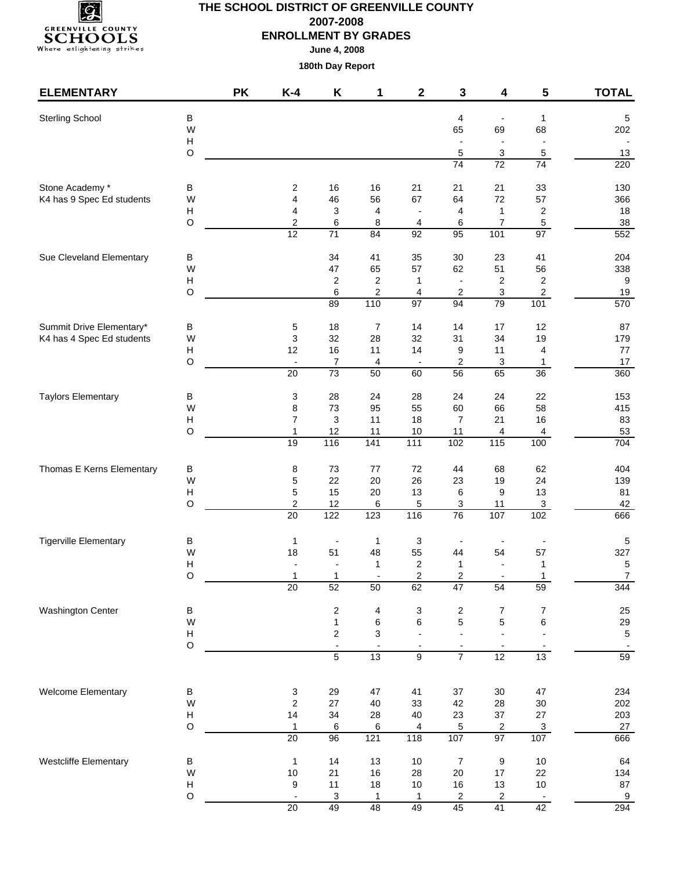

| <b>ELEMENTARY</b>            |                           | <b>PK</b> | $K-4$                                      | Κ                         | 1                       | $\mathbf 2$            | 3                             | 4                        | 5                   | <b>TOTAL</b>                 |
|------------------------------|---------------------------|-----------|--------------------------------------------|---------------------------|-------------------------|------------------------|-------------------------------|--------------------------|---------------------|------------------------------|
| <b>Sterling School</b>       | В                         |           |                                            |                           |                         |                        | 4                             |                          | $\mathbf{1}$        | $\sqrt{5}$                   |
|                              | W                         |           |                                            |                           |                         |                        | 65                            | 69                       | 68                  | 202                          |
|                              | Н                         |           |                                            |                           |                         |                        | $\overline{a}$                | $\overline{\phantom{a}}$ | $\blacksquare$      |                              |
|                              | $\circ$                   |           |                                            |                           |                         |                        | 5                             | 3                        | $\sqrt{5}$          | 13                           |
|                              |                           |           |                                            |                           |                         |                        | 74                            | 72                       | 74                  | 220                          |
| Stone Academy *              | В                         |           | $\overline{\mathbf{c}}$                    | 16                        | 16                      | 21                     | 21                            | 21                       | 33                  | 130                          |
| K4 has 9 Spec Ed students    | W                         |           | 4                                          | 46                        | 56                      | 67                     | 64                            | 72                       | 57                  | 366                          |
|                              | $\boldsymbol{\mathsf{H}}$ |           | 4                                          | $\ensuremath{\mathsf{3}}$ | 4                       |                        | 4                             | $\mathbf 1$              | $\overline{c}$      | 18                           |
|                              | $\circ$                   |           | $\boldsymbol{2}$<br>12                     | 6<br>71                   | 8<br>84                 | 4<br>$\overline{92}$   | 6<br>95                       | $\boldsymbol{7}$<br>101  | $\,$ 5 $\,$<br>97   | 38<br>552                    |
|                              |                           |           |                                            |                           |                         |                        |                               |                          |                     |                              |
| Sue Cleveland Elementary     | В<br>W                    |           |                                            | 34<br>47                  | 41<br>65                | 35<br>57               | 30<br>62                      | 23<br>51                 | 41<br>56            | 204<br>338                   |
|                              | $\boldsymbol{\mathsf{H}}$ |           |                                            | $\overline{\mathbf{c}}$   | $\overline{\mathbf{c}}$ | 1                      | $\overline{\phantom{a}}$      | 2                        | $\overline{c}$      | 9                            |
|                              | $\circ$                   |           |                                            | 6                         | 2                       | 4                      | 2                             | 3                        | $\overline{c}$      | 19                           |
|                              |                           |           |                                            | 89                        | 110                     | $\overline{97}$        | 94                            | 79                       | 101                 | 570                          |
| Summit Drive Elementary*     | B                         |           | $\mathbf 5$                                | 18                        | $\overline{7}$          | 14                     | 14                            | 17                       | 12                  | 87                           |
| K4 has 4 Spec Ed students    | W                         |           | 3                                          | 32                        | 28                      | 32                     | 31                            | 34                       | 19                  | 179                          |
|                              | Н                         |           | 12                                         | 16                        | 11                      | 14                     | 9                             | 11                       | 4                   | 77                           |
|                              | $\circ$                   |           | $\overline{\phantom{a}}$<br>20             | 7<br>$\overline{73}$      | 4<br>50                 | $\blacksquare$<br>60   | 2<br>56                       | 3<br>65                  | $\mathbf{1}$<br>36  | 17<br>360                    |
|                              |                           |           |                                            |                           |                         |                        |                               |                          |                     |                              |
| <b>Taylors Elementary</b>    | В<br>W                    |           | 3                                          | 28<br>73                  | 24                      | 28                     | 24                            | 24                       | 22<br>58            | 153                          |
|                              | $\boldsymbol{\mathsf{H}}$ |           | 8<br>$\overline{7}$                        | 3                         | 95<br>11                | 55<br>18               | 60<br>$\overline{7}$          | 66<br>21                 | 16                  | 415<br>83                    |
|                              | O                         |           | $\mathbf{1}$                               | 12                        | 11                      | $10$                   | 11                            | 4                        | $\overline{4}$      | 53                           |
|                              |                           |           | 19                                         | 116                       | 141                     | $\frac{111}{111}$      | 102                           | $\frac{115}{115}$        | 100                 | 704                          |
| Thomas E Kerns Elementary    | B                         |           | 8                                          | 73                        | 77                      | 72                     | 44                            | 68                       | 62                  | 404                          |
|                              | W                         |           | 5                                          | 22                        | 20                      | 26                     | 23                            | 19                       | 24                  | 139                          |
|                              | $\boldsymbol{\mathsf{H}}$ |           | 5                                          | 15                        | 20                      | 13                     | 6                             | 9                        | 13                  | 81                           |
|                              | $\circ$                   |           | $\overline{\mathbf{c}}$<br>$\overline{20}$ | 12<br>122                 | 6<br>123                | 5<br>$\frac{116}{116}$ | 3<br>76                       | 11<br>107                | $\mathbf{3}$<br>102 | 42<br>666                    |
|                              |                           |           |                                            |                           |                         |                        |                               |                          |                     |                              |
| <b>Tigerville Elementary</b> | В                         |           | 1                                          | $\overline{\phantom{a}}$  | $\mathbf{1}$            | 3                      |                               |                          |                     | 5                            |
|                              | W                         |           | 18                                         | 51                        | 48                      | 55                     | 44                            | 54                       | 57                  | 327                          |
|                              | $\mathsf{H}$<br>O         |           |                                            | $\overline{a}$<br>1       | $\mathbf{1}$            | 2<br>$\overline{2}$    | 1<br>2                        |                          | $\mathbf{1}$<br>1   | $\sqrt{5}$<br>$\overline{7}$ |
|                              |                           |           | $\overline{20}$                            | 52                        | 50                      | 62                     | 47                            | 54                       | 59                  | 344                          |
| <b>Washington Center</b>     | B                         |           |                                            | 2                         | $\overline{\mathbf{4}}$ | 3                      | 2                             | $\overline{7}$           | 7                   | 25                           |
|                              | W                         |           |                                            | $\mathbf{1}$              | 6                       | 6                      | 5                             | 5                        | $\,6$               | 29                           |
|                              | Н                         |           |                                            | 2                         | 3                       |                        | $\overline{a}$                | $\overline{a}$           |                     | $\sqrt{5}$                   |
|                              | $\mathsf O$               |           |                                            | $\blacksquare$            |                         |                        | $\overline{\phantom{a}}$      |                          |                     |                              |
|                              |                           |           |                                            | $\overline{5}$            | 13                      | 9                      | $\overline{7}$                | 12                       | 13                  | 59                           |
| Welcome Elementary           | B                         |           | 3                                          | 29                        | 47                      | 41                     | 37                            | $30\,$                   | 47                  | 234                          |
|                              | W                         |           | $\overline{c}$                             | 27                        | 40                      | 33                     | 42                            | 28                       | $30\,$              | 202                          |
|                              | $\boldsymbol{\mathsf{H}}$ |           | 14                                         | 34                        | 28                      | 40                     | 23                            | $37\,$                   | 27                  | 203                          |
|                              | $\circ$                   |           | $\mathbf{1}$                               | 6                         | 6                       | 4                      | 5                             | 2                        | $\overline{3}$      | 27                           |
|                              |                           |           | 20                                         | 96                        | 121                     | 118                    | 107                           | 97                       | 107                 | 666                          |
| Westcliffe Elementary        | B                         |           | $\mathbf{1}$                               | 14                        | 13                      | $10$                   | $\boldsymbol{7}$              | 9                        | $10\,$              | 64                           |
|                              | W                         |           | $10$                                       | 21                        | 16                      | 28                     | 20                            | 17                       | 22                  | 134                          |
|                              | $\mathsf{H}$<br>$\circ$   |           | 9                                          | 11                        | 18                      | $10$                   | 16                            | $13$                     | $10\,$              | 87                           |
|                              |                           |           | $\blacksquare$<br>20                       | 3<br>49                   | 1<br>48                 | 1<br>49                | $\overline{\mathbf{c}}$<br>45 | 2<br>41                  | 42                  | $\overline{9}$<br>294        |
|                              |                           |           |                                            |                           |                         |                        |                               |                          |                     |                              |